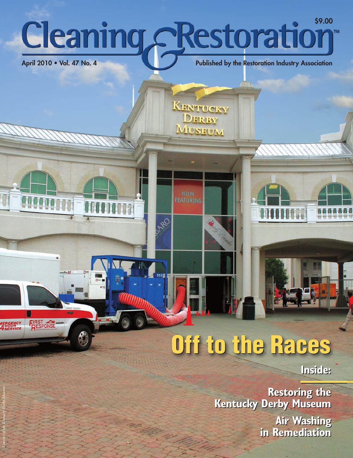# **Cleaning Restoration**

**OR** 

**KENTUCKY** DERBY **MUSEUM** 

*Courtesy of the Kentucky Derby Museum.*

**MERGENCY**<br>AHOUR<br>ASERVICE

**FIRST**<br>**RESPONSE** 

**April 2010 • Vol. 47 No. 4 Published by the Restoration Industry Association** 

## **Off to the Races Off to the Races**

**Inside: Inside:**

**Restoring the Restoring the Kentucky Derby Museum Kentucky Derby Museum Air Washing Air Washing in Remediation in Remediation**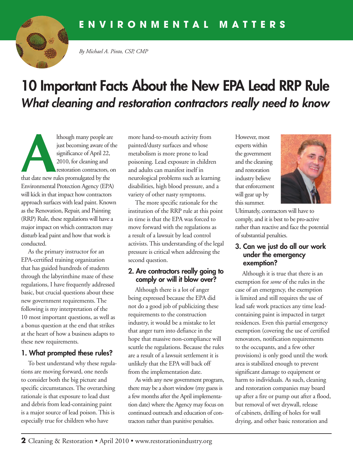

*By Michael A. Pinto, CSP, CMP*

### **10 Important Facts About the New EPA Lead RRP Rule** *What cleaning and restoration contractors really need to know*

Ithough many people are<br>
just becoming aware of the<br>
significance of April 22,<br>
2010, for cleaning and<br>
restoration contractors, o just becoming aware of the significance of April 22, 2010, for cleaning and restoration contractors, on that date new rules promulgated by the Environmental Protection Agency (EPA) will kick in that impact how contractors approach surfaces with lead paint. Known as the Renovation, Repair, and Painting (RRP) Rule, these regulations will have a major impact on which contractors may disturb lead paint and how that work is conducted.

As the primary instructor for an EPA-certified training organization that has guided hundreds of students through the labyrinthine maze of these regulations, I have frequently addressed basic, but crucial questions about these new government requirements. The following is my interpretation of the 10 most important questions, as well as a bonus question at the end that strikes at the heart of how a business adapts to these new requirements.

#### **1. What prompted these rules?**

To best understand why these regulations are moving forward, one needs to consider both the big picture and specific circumstances. The overarching rationale is that exposure to lead dust and debris from lead-containing paint is a major source of lead poison. This is especially true for children who have

more hand-to-mouth activity from painted/dusty surfaces and whose metabolism is more prone to lead poisoning. Lead exposure in children and adults can manifest itself in neurological problems such as learning disabilities, high blood pressure, and a variety of other nasty symptoms.

The more specific rationale for the institution of the RRP rule at this point in time is that the EPA was forced to move forward with the regulations as a result of a lawsuit by lead control activists. This understanding of the legal pressure is critical when addressing the second question.

#### **2. Are contractors really going to comply or will it blow over?**

Although there is a lot of anger being expressed because the EPA did not do a good job of publicizing these requirements to the construction industry, it would be a mistake to let that anger turn into defiance in the hope that massive non-compliance will scuttle the regulations. Because the rules are a result of a lawsuit settlement it is unlikely that the EPA will back off from the implementation date.

As with any new government program, there may be a short window (my guess is a few months after the April implementation date) where the Agency may focus on continued outreach and education of contractors rather than punitive penalties.

However, most experts within the government and the cleaning and restoration industry believe that enforcement will gear up by this summer.



Ultimately, contractors will have to comply, and it is best to be pro-active rather than reactive and face the potential of substantial penalties.

#### **3. Can we just do all our work under the emergency exemption?**

Although it is true that there is an exemption for *some* of the rules in the case of an emergency, the exemption is limited and still requires the use of lead safe work practices any time leadcontaining paint is impacted in target residences. Even this partial emergency exemption (covering the use of certified renovators, notification requirements to the occupants, and a few other provisions) is only good until the work area is stabilized enough to prevent significant damage to equipment or harm to individuals. As such, cleaning and restoration companies may board up after a fire or pump out after a flood, but removal of wet drywall, release of cabinets, drilling of holes for wall drying, and other basic restoration and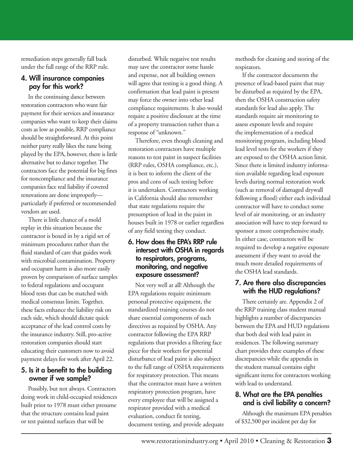remediation steps generally fall back under the full range of the RRP rule.

#### **4. Will insurance companies pay for this work?**

In the continuing dance between restoration contractors who want fair payment for their services and insurance companies who want to keep their claims costs as low as possible, RRP compliance should be straightforward. At this point neither party really likes the tune being played by the EPA, however, there is little alternative but to dance together. The contractors face the potential for big fines for noncompliance and the insurance companies face real liability if covered renovations are done improperly particularly if preferred or recommended vendors are used.

There is little chance of a mold replay in this situation because the contractor is boxed in by a rigid set of minimum procedures rather than the fluid standard of care that guides work with microbial contamination. Property and occupant harm is also more easily proven by comparison of surface samples to federal regulations and occupant blood tests that can be matched with medical consensus limits. Together, these facts enhance the liability risk on each side, which should dictate quick acceptance of the lead control costs by the insurance industry. Still, pro-active restoration companies should start educating their customers now to avoid payment delays for work after April 22.

#### **5. Is it a benefit to the building owner if we sample?**

Possibly, but not always. Contractors doing work in child-occupied residences built prior to 1978 must either presume that the structure contains lead paint or test painted surfaces that will be

disturbed. While negative test results may save the contractor some hassle and expense, not all building owners will agree that testing is a good thing. A confirmation that lead paint is present may force the owner into other lead compliance requirements. It also would require a positive disclosure at the time of a property transaction rather than a response of "unknown."

Therefore, even though cleaning and restoration contractors have multiple reasons to test paint in suspect facilities (RRP rules, OSHA compliance, etc.), it is best to inform the client of the pros and cons of such testing before it is undertaken. Contractors working in California should also remember that state regulations require the presumption of lead in the paint in houses built in 1978 or earlier regardless of any field testing they conduct.

#### **6. How does the EPA's RRP rule intersect with OSHA in regards to respirators, programs, monitoring, and negative exposure assessment?**

Not very well at all! Although the EPA regulations require minimum personal protective equipment, the standardized training courses do not share essential components of such directives as required by OSHA. Any contractor following the EPA RRP regulations that provides a filtering face piece for their workers for potential disturbance of lead paint is also subject to the full range of OSHA requirements for respiratory protection. This means that the contractor must have a written respiratory protection program, have every employee that will be assigned a respirator provided with a medical evaluation, conduct fit testing, document testing, and provide adequate methods for cleaning and storing of the respirators.

If the contractor documents the presence of lead-based paint that may be disturbed as required by the EPA, then the OSHA construction safety standards for lead also apply. The standards require air monitoring to assess exposure levels and require the implementation of a medical monitoring program, including blood lead level tests for the workers if they are exposed to the OSHA action limit. Since there is limited industry information available regarding lead exposure levels during normal restoration work (such as removal of damaged drywall following a flood) either each individual contractor will have to conduct some level of air monitoring, or an industry association will have to step forward to sponsor a more comprehensive study. In either case, contractors will be required to develop a negative exposure assessment if they want to avoid the much more detailed requirements of the OSHA lead standards.

#### **7. Are there also discrepancies with the HUD regulations?**

There certainly are. Appendix 2 of the RRP training class student manual highlights a number of discrepancies between the EPA and HUD regulations that both deal with lead paint in residences. The following summary chart provides three examples of these discrepancies while the appendix in the student manual contains eight significant items for contractors working with lead to understand.

#### **8. What are the EPA penalties and is civil liability a concern?**

Although the maximum EPA penalties of \$32,500 per incident per day for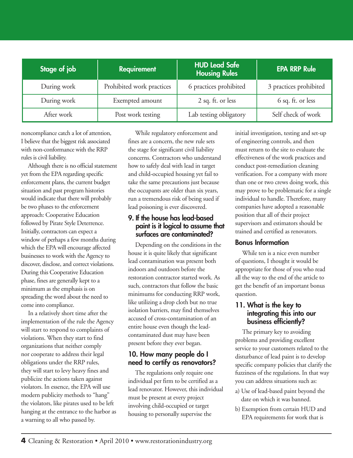| Stage of job | <b>Requirement</b>        | HUD Lead Safe<br><b>Housing Rules</b> | <b>EPA RRP Rule</b>    |
|--------------|---------------------------|---------------------------------------|------------------------|
| During work  | Prohibited work practices | 6 practices prohibited                | 3 practices prohibited |
| During work  | Exempted amount           | 2 sq. ft. or less                     | 6 sq. ft. or less      |
| After work   | Post work testing         | Lab testing obligatory                | Self check of work     |

noncompliance catch a lot of attention, I believe that the biggest risk associated with non-conformance with the RRP rules is civil liability.

Although there is no official statement yet from the EPA regarding specific enforcement plans, the current budget situation and past program histories would indicate that there will probably be two phases to the enforcement approach: Cooperative Education followed by Pirate Style Deterrence. Initially, contractors can expect a window of perhaps a few months during which the EPA will encourage affected businesses to work with the Agency to discover, disclose, and correct violations. During this Cooperative Education phase, fines are generally kept to a minimum as the emphasis is on spreading the word about the need to come into compliance.

In a relatively short time after the implementation of the rule the Agency will start to respond to complaints of violations. When they start to find organizations that neither comply nor cooperate to address their legal obligations under the RRP rules, they will start to levy heavy fines and publicize the actions taken against violators. In essence, the EPA will use modern publicity methods to "hang" the violators, like pirates used to be left hanging at the entrance to the harbor as a warning to all who passed by.

While regulatory enforcement and fines are a concern, the new rule sets the stage for significant civil liability concerns. Contractors who understand how to safely deal with lead in target and child-occupied housing yet fail to take the same precautions just because the occupants are older than six years, run a tremendous risk of being sued if lead poisoning is ever discovered.

#### **9. If the house has lead-based paint is it logical to assume that surfaces are contaminated?**

Depending on the conditions in the house it is quite likely that significant lead contamination was present both indoors and outdoors before the restoration contractor started work. As such, contractors that follow the basic minimums for conducting RRP work, like utilizing a drop cloth but no true isolation barriers, may find themselves accused of cross-contamination of an entire house even though the leadcontaminated dust may have been present before they ever began.

#### **10. How many people do I need to certify as renovators?**

The regulations only require one individual per firm to be certified as a lead renovator. However, this individual must be present at every project involving child-occupied or target housing to personally supervise the

initial investigation, testing and set-up of engineering controls, and then must return to the site to evaluate the effectiveness of the work practices and conduct post-remediation cleaning verification. For a company with more than one or two crews doing work, this may prove to be problematic for a single individual to handle. Therefore, many companies have adopted a reasonable position that all of their project supervisors and estimators should be trained and certified as renovators.

#### **Bonus Information**

While ten is a nice even number of questions, I thought it would be appropriate for those of you who read all the way to the end of the article to get the benefit of an important bonus question.

#### **11. What is the key to integrating this into our business efficiently?**

The primary key to avoiding problems and providing excellent service to your customers related to the disturbance of lead paint is to develop specific company policies that clarify the fuzziness of the regulations. In that way you can address situations such as:

- a) Use of lead-based paint beyond the date on which it was banned.
- b) Exemption from certain HUD and EPA requirements for work that is